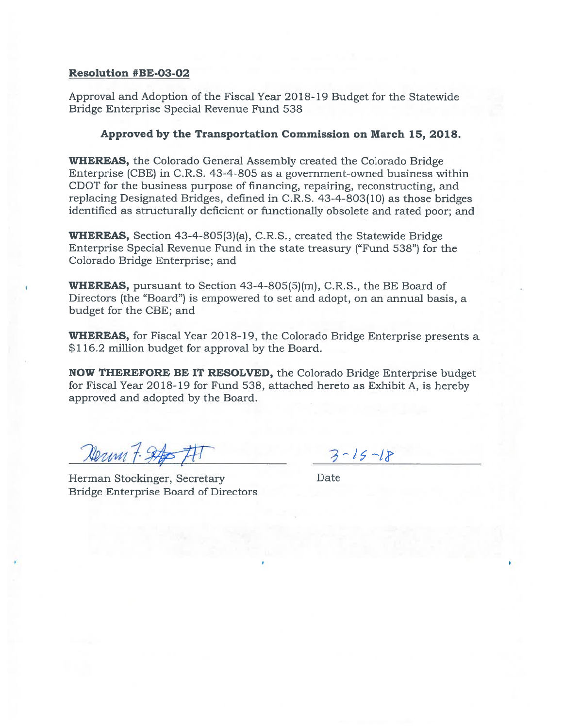## Resolution #BE-03-02

Approval and Adoption of the Fiscal Year 2018- 19 Budget for the Statewide Bridge Enterprise Special Revenue Fund 538

## Approved by the Transportation Commission on March 15, 2013.

WHEREAS, the Colorado General Assembly created the Colorado Bridge Enterprise (CBE) in C.R.S. 43-4-805 as <sup>a</sup> government-owned business within CDOT for the business purpose of financing, repairing, reconstructing, and replacing Designated Bridges, defined in C.R.S. 43-4-803(10) as those bridges identified as structurally deficient or functionally obsolete and rated poor; and

WHEREAS, Section 43-4-805(3)(a), C.R.S., created the Statewide Bridge Enterprise Special Revenue Fund in the state treasury ("Fund 538") for the Colorado Bridge Enterprise; and

WHEREAS, pursuan<sup>t</sup> to Section 43-4-805(5)(m), C.R.S., the BE Board of Directors (the "Board") is empowered to set and adopt, on an annual basis, <sup>a</sup> budget for the CBE; and

WHEREAS, for Fiscal Year 2018-19, the Colorado Bridge Enterprise presents a \$116.2 million budget for approva<sup>l</sup> by the Board.

NOW THEREFORE BE IT RESOLVED, the Colorado Bridge Enterprise budget for Fiscal Year 20 18-19 for Fund 536, attached hereto as Exhibit A, is hereby approved and adopted by the Board.

Nerum 7. Stop FIT

Herman Stockinger, Secretary Date Bridge Enterprise Board of Directors

 $3 - 15 - 18$